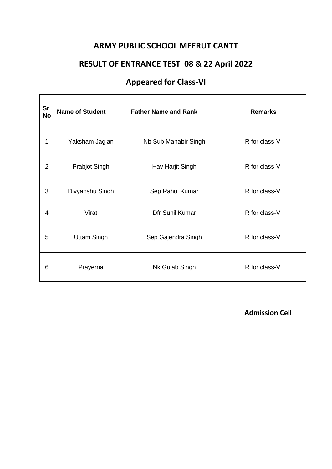### **RESULT OF ENTRANCE TEST 08 & 22 April 2022**

# **Appeared for Class-VI**

| <b>Sr</b><br><b>No</b> | <b>Name of Student</b> | <b>Father Name and Rank</b> | <b>Remarks</b> |
|------------------------|------------------------|-----------------------------|----------------|
| 1                      | Yaksham Jaglan         | Nb Sub Mahabir Singh        | R for class-VI |
| $\overline{2}$         | <b>Prabjot Singh</b>   | Hav Harjit Singh            | R for class-VI |
| 3                      | Divyanshu Singh        | Sep Rahul Kumar             | R for class-VI |
| 4                      | Virat                  | Dfr Sunil Kumar             | R for class-VI |
| 5                      | <b>Uttam Singh</b>     | Sep Gajendra Singh          | R for class-VI |
| 6                      | Prayerna               | Nk Gulab Singh              | R for class-VI |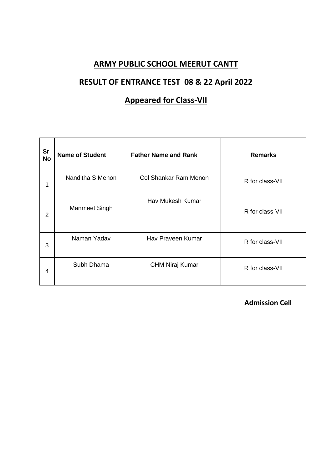### **RESULT OF ENTRANCE TEST 08 & 22 April 2022**

## **Appeared for Class-VII**

| <b>Sr</b><br><b>No</b> | <b>Name of Student</b> | <b>Father Name and Rank</b>  | <b>Remarks</b>  |
|------------------------|------------------------|------------------------------|-----------------|
| 1                      | Nanditha S Menon       | <b>Col Shankar Ram Menon</b> | R for class-VII |
| 2                      | Manmeet Singh          | Hav Mukesh Kumar             | R for class-VII |
| 3                      | Naman Yadav            | Hav Praveen Kumar            | R for class-VII |
| 4                      | Subh Dhama             | <b>CHM Niraj Kumar</b>       | R for class-VII |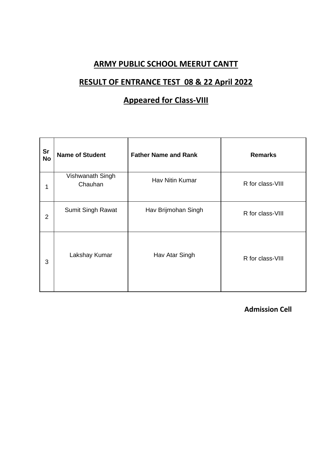### **RESULT OF ENTRANCE TEST 08 & 22 April 2022**

# **Appeared for Class-VIII**

| <b>Sr</b><br><b>No</b> | <b>Name of Student</b>      | <b>Father Name and Rank</b> | <b>Remarks</b>   |
|------------------------|-----------------------------|-----------------------------|------------------|
| 1                      | Vishwanath Singh<br>Chauhan | Hav Nitin Kumar             | R for class-VIII |
| $\overline{2}$         | <b>Sumit Singh Rawat</b>    | Hav Brijmohan Singh         | R for class-VIII |
| 3                      | Lakshay Kumar               | Hav Atar Singh              | R for class-VIII |